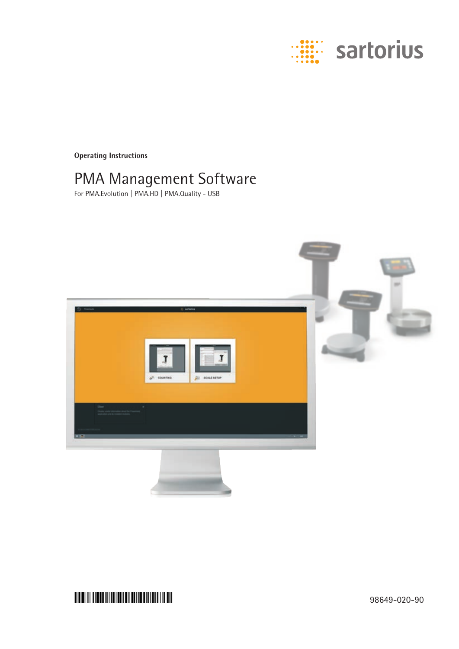

**Operating Instructions**

## PMA Management Software

For PMA.Evolution | PMA.HD | PMA.Quality - USB

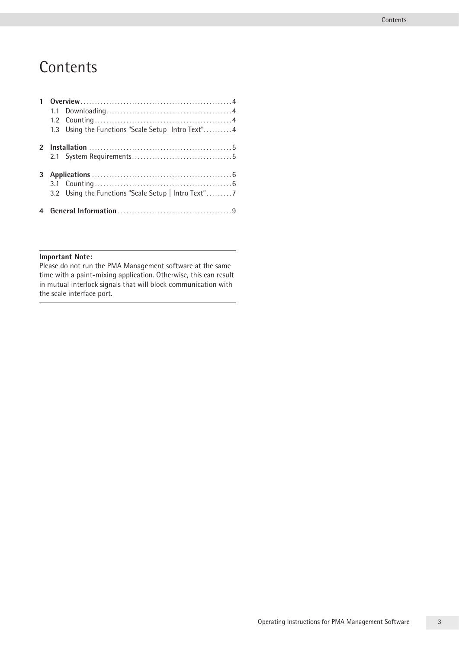# **Contents**

|               | 1.3 Using the Functions "Scale Setup   Intro Text" 4 |
|---------------|------------------------------------------------------|
| $\mathcal{P}$ |                                                      |
|               |                                                      |
|               |                                                      |
|               |                                                      |
|               | 3.2 Using the Functions "Scale Setup   Intro Text"7  |
|               |                                                      |

#### **Important Note:**

Please do not run the PMA Management software at the same time with a paint-mixing application. Otherwise, this can result in mutual interlock signals that will block communication with the scale interface port.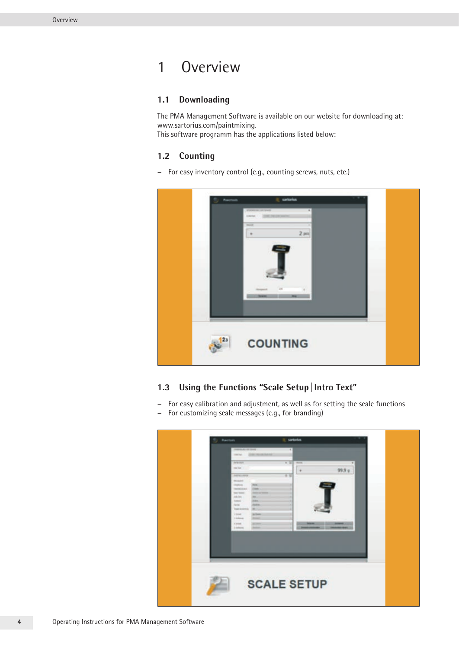## <span id="page-3-0"></span>1 Overview

#### **1.1 Downloading**

The PMA Management Software is available on our website for downloading at: www.sartorius.com/paintmixing. This software programm has the applications listed below:

### **1.2 Counting**

− For easy inventory control (e.g., counting screws, nuts, etc.)

| sarbarkas                        |  |
|----------------------------------|--|
|                                  |  |
| <b>State of</b><br>2.90<br>٠     |  |
|                                  |  |
| $\frac{1}{2}$<br><b>COUNTING</b> |  |
|                                  |  |

### **1.3 Using the Functions "Scale Setup|Intro Text"**

- − For easy calibration and adjustment, as well as for setting the scale functions
- − For customizing scale messages (e.g., for branding)

| <b>Practicult</b><br><b>HELM</b>                                                                                                                                                                                                                    | <b>IL sarterius</b><br>× |                   |  |
|-----------------------------------------------------------------------------------------------------------------------------------------------------------------------------------------------------------------------------------------------------|--------------------------|-------------------|--|
| <b>AFRICA</b><br><b>Harriott</b><br><b>SAFE BUILDING</b><br><b>Distances</b><br><b>COURSES</b><br><b>Contractor</b><br>that Name<br><b>Highland</b><br><b>Subscribe</b><br><b>Senior</b><br>Total Ave<br>1 times<br>1 Advised<br>1398<br>1 tellions | $-1$<br>-<br>٠           | 99.9 <sub>9</sub> |  |
|                                                                                                                                                                                                                                                     | <b>SCALE SETUP</b>       |                   |  |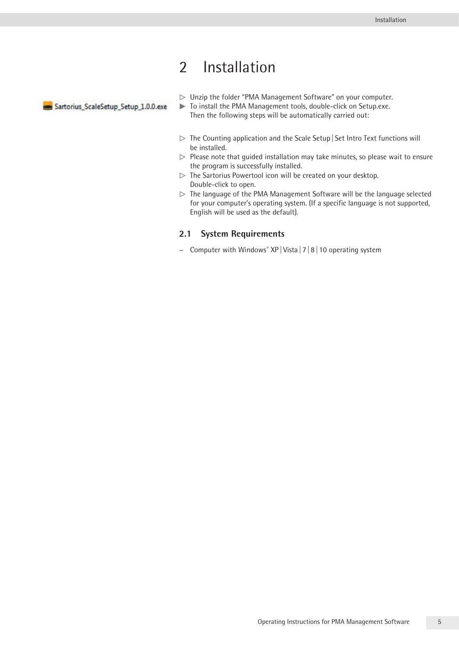## 2 Installation

<span id="page-4-0"></span>Sartorius\_ScaleSetup\_Setup\_1.0.0.exe

- $\triangleright$  Unzip the folder "PMA Management Software" on your computer.
- $\triangleright$  To install the PMA Management tools, double-click on Setup.exe. Then the following steps will be automatically carried out:
- $\triangleright$  The Counting application and the Scale Setup Set Intro Text functions will be installed.
- $\triangleright$  Please note that guided installation may take minutes, so please wait to ensure the program is successfully installed.
- $\triangleright$  The Sartorius Powertool icon will be created on your desktop. Double-click to open.
- $\triangleright$  The language of the PMA Management Software will be the language selected for your computer's operating system. (If a specific language is not supported, English will be used as the default).

#### **2.1 System Requirements**

− Computer with Windows® XP|Vista |7|8|10 operating system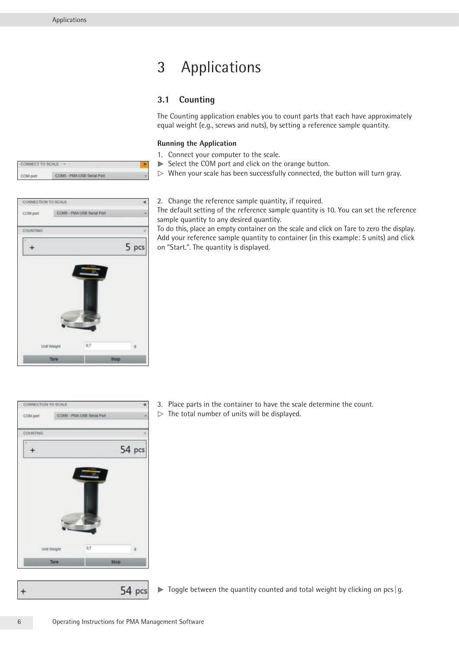<span id="page-5-0"></span>CONNECT TO SCALE

COM nov

## 3 Applications

### **3.1 Counting**

The Counting application enables you to count parts that each have approximately equal weight (e.g., screws and nuts), by setting a reference sample quantity.

#### **Running the Application**

- 1. Connect your computer to the scale.
- $\blacktriangleright$  Select the COM port and click on the orange button.
- $\triangleright$  When your scale has been successfully connected, the button will turn gray.
- CONNECTION TO SCALE ٠ COM not COMS - PMA USB Serial Por COUNTING 5 pcs  $\ddot{}$  $Q$ **King Weight** Tare **Stop**

COMS - PMA USB Senal Port

#### 2. Change the reference sample quantity, if required.

The default setting of the reference sample quantity is 10. You can set the reference sample quantity to any desired quantity.

To do this, place an empty container on the scale and click on Tare to zero the display. Add your reference sample quantity to container (in this example: 5 units) and click on "Start.". The quantity is displayed.

| CONNECTION TO SCALE |                            |        |    |
|---------------------|----------------------------|--------|----|
| COM port            | COMS - PMA USB Serial Port |        | ٠  |
| COUNTING            |                            |        |    |
| ٠                   |                            | 54 pcs |    |
|                     |                            |        |    |
| <b>Unit Weight</b>  | 0.7                        |        | ंड |

- 3. Place parts in the container to have the scale determine the count.
- $\triangleright$  The total number of units will be displayed.

 $\triangleright$  Toggle between the quantity counted and total weight by clicking on pcs | g.

54 pcs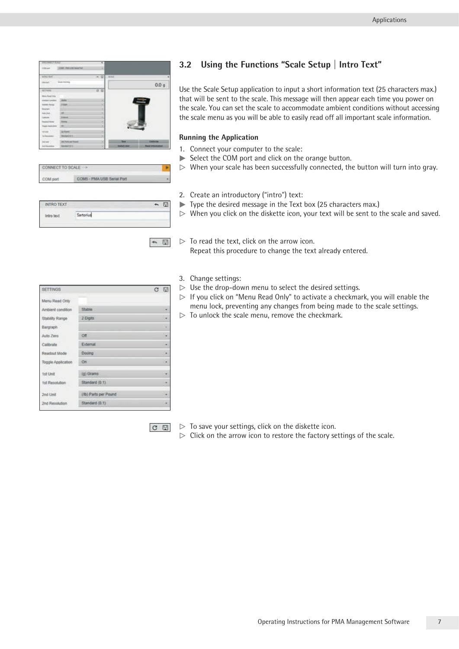<span id="page-6-0"></span>

| <b>MEETINGS</b>        |                           | ۰       |                     |                                        |
|------------------------|---------------------------|---------|---------------------|----------------------------------------|
| <b>Internet</b>        | 12240 Pall Ltd Salah Part | ٠       |                     |                                        |
| <b>ANTINGS THE AVE</b> |                           | $= 0.1$ | <b>BOAR</b>         |                                        |
| <b>CALL I</b>          | $-1.11$                   |         |                     | 0.0 q                                  |
| ALC: North             |                           | けい 口    |                     |                                        |
|                        |                           |         |                     |                                        |
|                        | <b>The Corporation</b>    | ٠       |                     |                                        |
| 1/12                   | 3 Know                    | ٠       |                     |                                        |
|                        |                           | ×       |                     |                                        |
|                        | ٠                         | ۰       |                     |                                        |
|                        | <b>STANDS</b>             | š       |                     |                                        |
| $\sim$                 | $-$                       | ò       |                     |                                        |
|                        | ۰                         | ×       |                     |                                        |
| <b>THE CARD</b>        | <b>SCIENCE</b>            | ٠       |                     |                                        |
|                        | <b>Hamburg &amp; H</b>    | ٠       |                     |                                        |
|                        | ALL Parts and Francis     | ٠<br>×  | <b>Torn</b>         | Califordia                             |
|                        | <b>Rendered St. To</b>    | ×       | <b>Berkell Link</b> | <b><i><u>Start Internation</u></i></b> |

| CONNECT TO SCALE |                           |  |
|------------------|---------------------------|--|
| COM port         | COM5 - PMA USB Senal Port |  |

| <b>TRO TEXT</b> |                   | a |
|-----------------|-------------------|---|
|                 | <b>STATISTICS</b> |   |

### **3.2 Using the Functions "Scale Setup | Intro Text"**

Use the Scale Setup application to input a short information text (25 characters max.) that will be sent to the scale. This message will then appear each time you power on the scale. You can set the scale to accommodate ambient conditions without accessing the scale menu as you will be able to easily read off all important scale information.

#### **Running the Application**

- 1. Connect your computer to the scale:
- $\triangleright$  Select the COM port and click on the orange button.
- $\triangleright$  When your scale has been successfully connected, the button will turn into gray.
- 2. Create an introductory ("intro") text:
- $\triangleright$  Type the desired message in the Text box (25 characters max.)
- $\triangleright$  When you click on the diskette icon, your text will be sent to the scale and saved.
- $\triangleright$  To read the text, click on the arrow icon. Repeat this procedure to change the text already entered.

| <b>SETTINGS</b>    |                       | C E |
|--------------------|-----------------------|-----|
| Menu Read Only     |                       |     |
| Ambient condition  | Stable                | ٠   |
| Stability Range    | 2 Digits              |     |
| Bargraph           |                       | ۰   |
| Auto Zero          | Off                   | ×   |
| Calibrate          | External              |     |
| Readout Mode       | Dosing                |     |
| Toggle Application | On                    |     |
| 1st Unit           | (g) Grams             |     |
| 1st Resolution     | Standard (0.1)        |     |
| 2nd Linit          | (/ib) Parts per Pound |     |
| 2nd Resolution     | Standard (0.1)        |     |

- 3. Change settings:
- $\triangleright$  Use the drop-down menu to select the desired settings.
- $\triangleright$  If you click on "Menu Read Only" to activate a checkmark, you will enable the menu lock, preventing any changes from being made to the scale settings.
- $>$  To unlock the scale menu, remove the checkmark.

C E

 $\qquad \qquad \blacksquare$ 

- $>$  To save your settings, click on the diskette icon.
- $\triangleright$  Click on the arrow icon to restore the factory settings of the scale.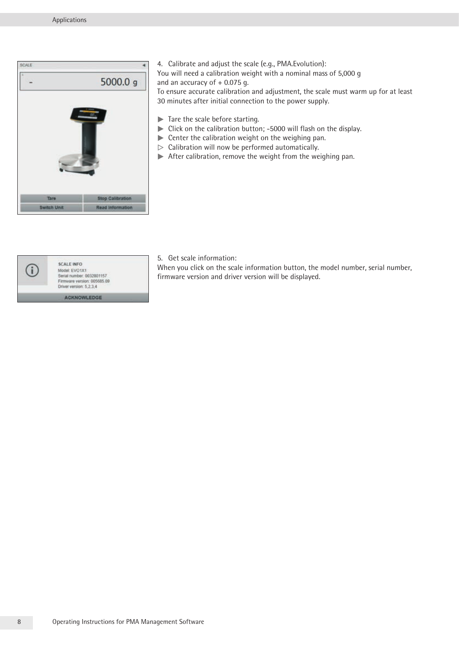

4. Calibrate and adjust the scale (e.g., PMA.Evolution):

You will need a calibration weight with a nominal mass of 5,000 g and an accuracy of  $+0.075$  q.

To ensure accurate calibration and adjustment, the scale must warm up for at least 30 minutes after initial connection to the power supply.

- $\blacktriangleright$  Tare the scale before starting.
- $\blacktriangleright$  Click on the calibration button; -5000 will flash on the display.
- $\triangleright$  Center the calibration weight on the weighing pan.
- $\triangleright$  Calibration will now be performed automatically.
- $\blacktriangleright$  After calibration, remove the weight from the weighing pan.



5. Get scale information:

When you click on the scale information button, the model number, serial number, firmware version and driver version will be displayed.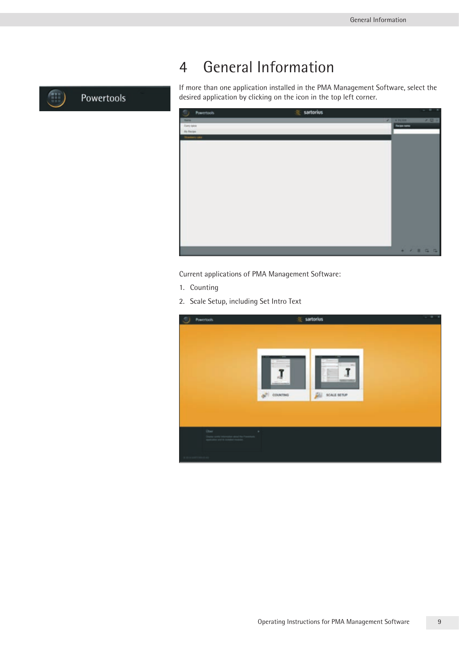<span id="page-8-0"></span>

### Powertools

# 4 General Information

If more than one application installed in the PMA Management Software, select the desired application by clicking on the icon in the top left corner.

| $\circ$                | sartorius<br><b>Powertools</b> |                     | $-0 X$       |
|------------------------|--------------------------------|---------------------|--------------|
| <b>Batter</b>          |                                | $J = 1.70321$       | <b>7 0 x</b> |
| * San Mid<br>th fields |                                | <b>Facigue name</b> |              |
|                        | <b>Theodorry Lake</b>          |                     |              |
|                        |                                |                     |              |
|                        |                                |                     |              |
|                        |                                |                     |              |
|                        |                                |                     |              |
|                        |                                |                     |              |
|                        |                                |                     |              |
|                        |                                |                     |              |
|                        |                                |                     |              |
|                        |                                |                     |              |
|                        |                                |                     |              |
|                        |                                |                     |              |
|                        |                                |                     |              |
|                        |                                |                     |              |
|                        |                                |                     |              |
|                        |                                |                     |              |
|                        |                                | 4 2 8 5 5           |              |
|                        |                                |                     |              |

Current applications of PMA Management Software:

- 1. Counting
- 2. Scale Setup, including Set Intro Text

|                           | <b>Powertools</b>                                                                                           | sartorius                                                                            | $-111$ |
|---------------------------|-------------------------------------------------------------------------------------------------------------|--------------------------------------------------------------------------------------|--------|
|                           |                                                                                                             | ۰<br><b>COMMERCIAL</b><br>-<br>印<br>$\mathbf{S}^{\text{H}}$ countries<br>SCALE SETUP |        |
|                           | Ober<br>Company seconds independent stand this Presentation<br>specification and the exclusional resolution | ٠                                                                                    |        |
| <u> The Communication</u> |                                                                                                             |                                                                                      |        |